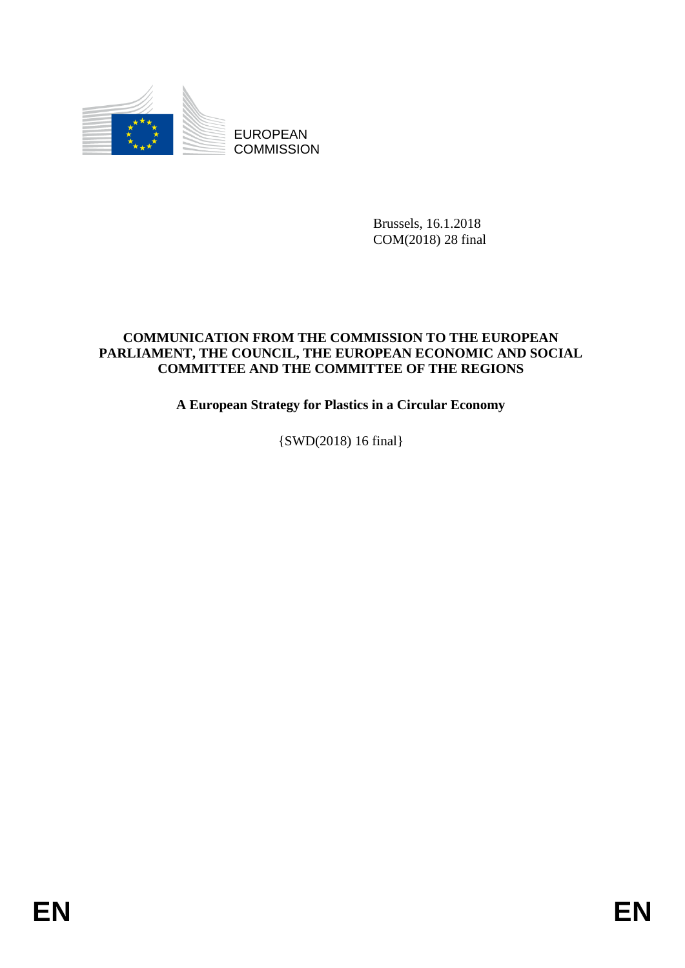

EUROPEAN **COMMISSION** 

> Brussels, 16.1.2018 COM(2018) 28 final

### **COMMUNICATION FROM THE COMMISSION TO THE EUROPEAN PARLIAMENT, THE COUNCIL, THE EUROPEAN ECONOMIC AND SOCIAL COMMITTEE AND THE COMMITTEE OF THE REGIONS**

**A European Strategy for Plastics in a Circular Economy**

{SWD(2018) 16 final}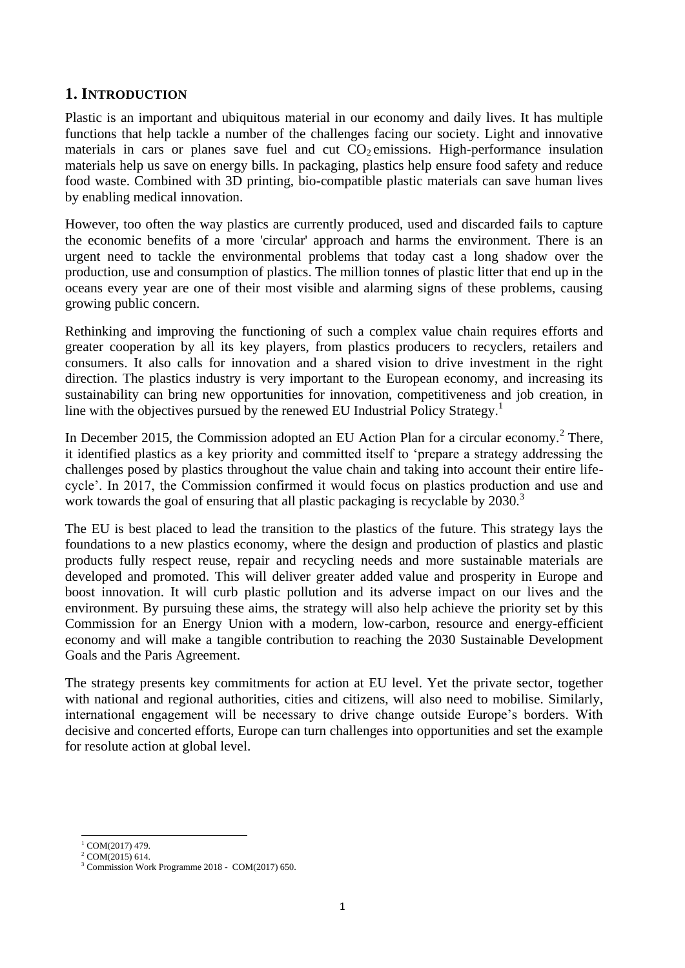### **1. INTRODUCTION**

Plastic is an important and ubiquitous material in our economy and daily lives. It has multiple functions that help tackle a number of the challenges facing our society. Light and innovative materials in cars or planes save fuel and cut  $CO<sub>2</sub>$  emissions. High-performance insulation materials help us save on energy bills. In packaging, plastics help ensure food safety and reduce food waste. Combined with 3D printing, bio-compatible plastic materials can save human lives by enabling medical innovation.

However, too often the way plastics are currently produced, used and discarded fails to capture the economic benefits of a more 'circular' approach and harms the environment. There is an urgent need to tackle the environmental problems that today cast a long shadow over the production, use and consumption of plastics. The million tonnes of plastic litter that end up in the oceans every year are one of their most visible and alarming signs of these problems, causing growing public concern.

Rethinking and improving the functioning of such a complex value chain requires efforts and greater cooperation by all its key players, from plastics producers to recyclers, retailers and consumers. It also calls for innovation and a shared vision to drive investment in the right direction. The plastics industry is very important to the European economy, and increasing its sustainability can bring new opportunities for innovation, competitiveness and job creation, in line with the objectives pursued by the renewed EU Industrial Policy Strategy.<sup>1</sup>

In December 2015, the Commission adopted an EU Action Plan for a circular economy.<sup>2</sup> There, it identified plastics as a key priority and committed itself to 'prepare a strategy addressing the challenges posed by plastics throughout the value chain and taking into account their entire lifecycle'. In 2017, the Commission confirmed it would focus on plastics production and use and work towards the goal of ensuring that all plastic packaging is recyclable by 2030.<sup>3</sup>

The EU is best placed to lead the transition to the plastics of the future. This strategy lays the foundations to a new plastics economy, where the design and production of plastics and plastic products fully respect reuse, repair and recycling needs and more sustainable materials are developed and promoted. This will deliver greater added value and prosperity in Europe and boost innovation. It will curb plastic pollution and its adverse impact on our lives and the environment. By pursuing these aims, the strategy will also help achieve the priority set by this Commission for an Energy Union with a modern, low-carbon, resource and energy-efficient economy and will make a tangible contribution to reaching the 2030 Sustainable Development Goals and the Paris Agreement.

The strategy presents key commitments for action at EU level. Yet the private sector, together with national and regional authorities, cities and citizens, will also need to mobilise. Similarly, international engagement will be necessary to drive change outside Europe's borders. With decisive and concerted efforts, Europe can turn challenges into opportunities and set the example for resolute action at global level.

**<sup>.</sup>**  $1$  COM(2017) 479.

 $^{2}$  COM $(2015)$  614.

<sup>3</sup> Commission Work Programme 2018 - COM(2017) 650.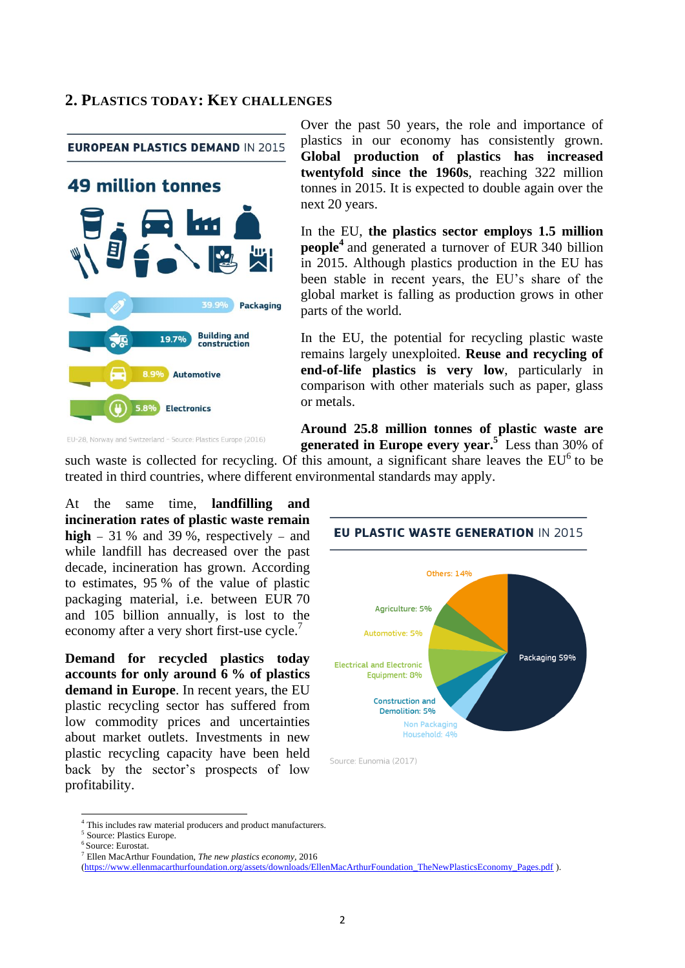#### **2. PLASTICS TODAY: KEY CHALLENGES**

**EUROPEAN PLASTICS DEMAND IN 2015** 



Over the past 50 years, the role and importance of plastics in our economy has consistently grown. **Global production of plastics has increased twentyfold since the 1960s**, reaching 322 million tonnes in 2015. It is expected to double again over the next 20 years.

In the EU, **the plastics sector employs 1.5 million people<sup>4</sup>** and generated a turnover of EUR 340 billion in 2015. Although plastics production in the EU has been stable in recent years, the EU's share of the global market is falling as production grows in other parts of the world.

In the EU, the potential for recycling plastic waste remains largely unexploited. **Reuse and recycling of end-of-life plastics is very low**, particularly in comparison with other materials such as paper, glass or metals.

**Around 25.8 million tonnes of plastic waste are generated in Europe every year.<sup>5</sup>** Less than 30% of

such waste is collected for recycling. Of this amount, a significant share leaves the  $EU<sup>6</sup>$  to be treated in third countries, where different environmental standards may apply.

At the same time, **landfilling and incineration rates of plastic waste remain high**  $-31$  % and 39 %, respectively  $-$  and while landfill has decreased over the past decade, incineration has grown. According to estimates, 95 % of the value of plastic packaging material, i.e. between EUR 70 and 105 billion annually, is lost to the economy after a very short first-use cycle.<sup>7</sup>

**Demand for recycled plastics today accounts for only around 6 % of plastics demand in Europe**. In recent years, the EU plastic recycling sector has suffered from low commodity prices and uncertainties about market outlets. Investments in new plastic recycling capacity have been held back by the sector's prospects of low profitability.



<sup>&</sup>lt;sup>4</sup> This includes raw material producers and product manufacturers.

**.** 

<sup>5</sup> Source: Plastics Europe.

<sup>6</sup> Source: Eurostat.

<sup>7</sup> Ellen MacArthur Foundation, *The new plastics economy,* 2016

[<sup>\(</sup>https://www.ellenmacarthurfoundation.org/assets/downloads/EllenMacArthurFoundation\\_TheNewPlasticsEconomy\\_Pages.pdf](https://www.ellenmacarthurfoundation.org/assets/downloads/EllenMacArthurFoundation_TheNewPlasticsEconomy_Pages.pdf) ).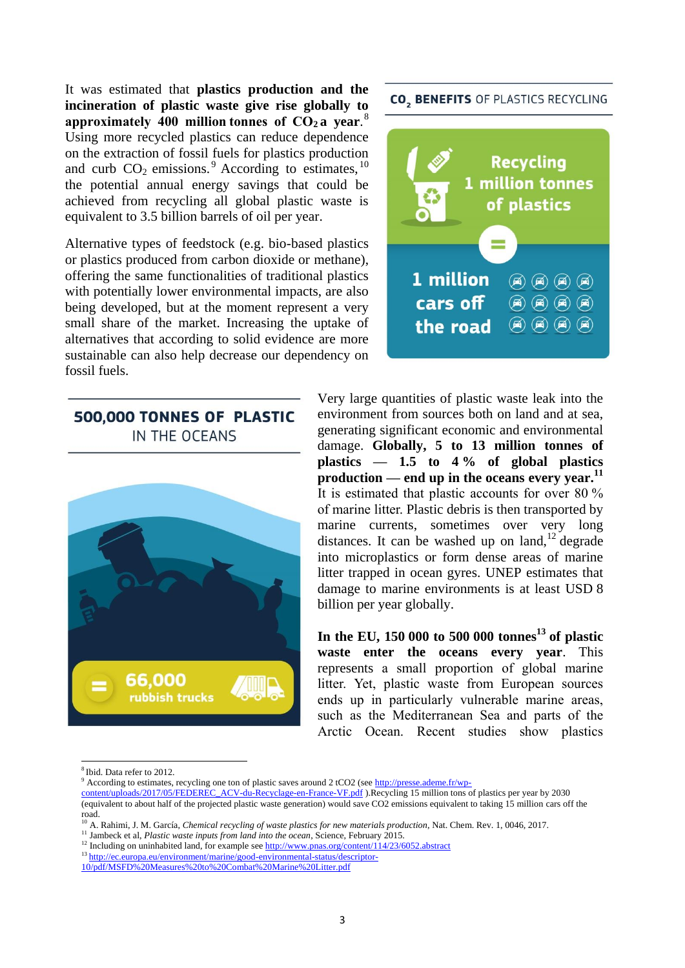It was estimated that **plastics production and the incineration of plastic waste give rise globally to approximately 400 million tonnes of CO<sup>2</sup> a year**. 8 Using more recycled plastics can reduce dependence on the extraction of fossil fuels for plastics production and curb  $CO_2$  emissions.<sup>9</sup> According to estimates,  $^{10}$ the potential annual energy savings that could be achieved from recycling all global plastic waste is equivalent to 3.5 billion barrels of oil per year.

Alternative types of feedstock (e.g. bio-based plastics or plastics produced from carbon dioxide or methane), offering the same functionalities of traditional plastics with potentially lower environmental impacts, are also being developed, but at the moment represent a very small share of the market. Increasing the uptake of alternatives that according to solid evidence are more sustainable can also help decrease our dependency on fossil fuels.

# 500,000 TONNES OF PLASTIC IN THE OCEANS



**CO. BENEFITS OF PLASTICS RECYCLING** 



Very large quantities of plastic waste leak into the environment from sources both on land and at sea, generating significant economic and environmental damage. **Globally, 5 to 13 million tonnes of plastics — 1.5 to 4 % of global plastics production — end up in the oceans every year.<sup>11</sup>** It is estimated that plastic accounts for over 80 % of marine litter. Plastic debris is then transported by marine currents, sometimes over very long distances. It can be washed up on land,  $^{12}$  degrade into microplastics or form dense areas of marine litter trapped in ocean gyres. UNEP estimates that damage to marine environments is at least USD 8 billion per year globally.

**In the EU, 150 000 to 500 000 tonnes<sup>13</sup> of plastic waste enter the oceans every year**. This represents a small proportion of global marine litter. Yet, plastic waste from European sources ends up in particularly vulnerable marine areas, such as the Mediterranean Sea and parts of the Arctic Ocean. Recent studies show plastics

**.** 

[content/uploads/2017/05/FEDEREC\\_ACV-du-Recyclage-en-France-VF.pdf](http://presse.ademe.fr/wp-content/uploads/2017/05/FEDEREC_ACV-du-Recyclage-en-France-VF.pdf) ).Recycling 15 million tons of plastics per year by 2030 (equivalent to about half of the projected plastic waste generation) would save CO2 emissions equivalent to taking 15 million cars off the road.

<sup>8</sup> Ibid. Data refer to 2012.

<sup>&</sup>lt;sup>9</sup> According to estimates, recycling one ton of plastic saves around 2 tCO2 (see [http://presse.ademe.fr/wp-](http://presse.ademe.fr/wp-content/uploads/2017/05/FEDEREC_ACV-du-Recyclage-en-France-VF.pdf)

<sup>&</sup>lt;sup>10</sup> A. Rahimi, J. M. García, *Chemical recycling of waste plastics for new materials production*, Nat. Chem. Rev. 1, 0046, 2017.

<sup>&</sup>lt;sup>11</sup> Jambeck et al, *Plastic waste inputs from land into the ocean*, Science, February 2015.

<sup>&</sup>lt;sup>12</sup> Including on uninhabited land, for example see <u>http://www.pnas.org/content/114/23/6052.abstract</u>

<sup>13</sup> [http://ec.europa.eu/environment/marine/good-environmental-status/descriptor-](http://ec.europa.eu/environment/marine/good-environmental-status/descriptor-10/pdf/MSFD%20Measures%20to%20Combat%20Marine%20Litter.pdf)

[<sup>10/</sup>pdf/MSFD%20Measures%20to%20Combat%20Marine%20Litter.pdf](http://ec.europa.eu/environment/marine/good-environmental-status/descriptor-10/pdf/MSFD%20Measures%20to%20Combat%20Marine%20Litter.pdf)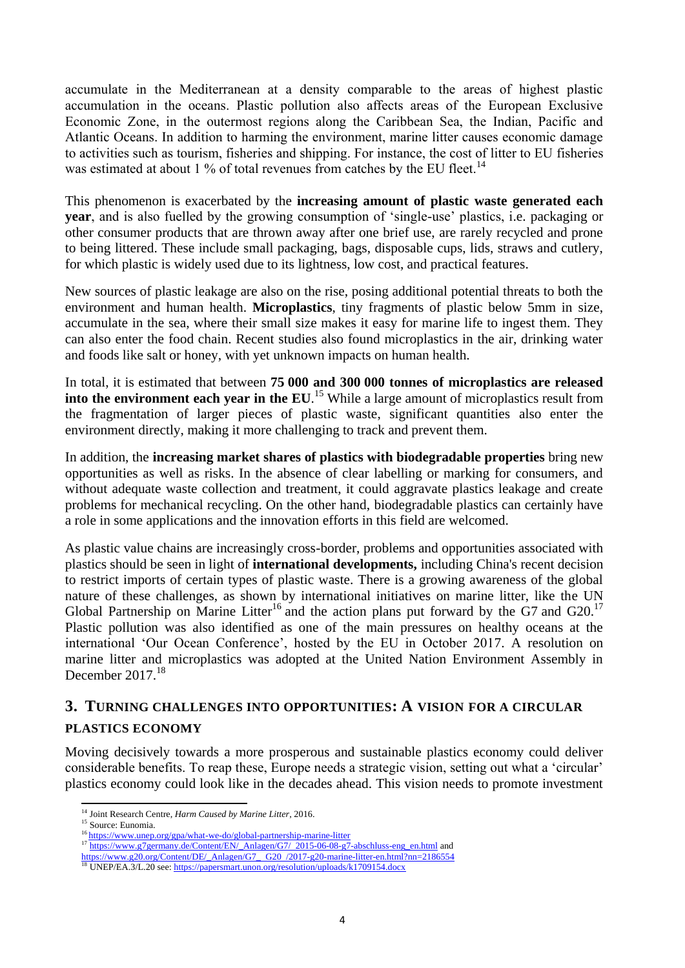accumulate in the Mediterranean at a density comparable to the areas of highest plastic accumulation in the oceans. Plastic pollution also affects areas of the European Exclusive Economic Zone, in the outermost regions along the Caribbean Sea, the Indian, Pacific and Atlantic Oceans. In addition to harming the environment, marine litter causes economic damage to activities such as tourism, fisheries and shipping. For instance, the cost of litter to EU fisheries was estimated at about 1 % of total revenues from catches by the EU fleet.<sup>14</sup>

This phenomenon is exacerbated by the **increasing amount of plastic waste generated each year**, and is also fuelled by the growing consumption of 'single-use' plastics, i.e. packaging or other consumer products that are thrown away after one brief use, are rarely recycled and prone to being littered. These include small packaging, bags, disposable cups, lids, straws and cutlery, for which plastic is widely used due to its lightness, low cost, and practical features.

New sources of plastic leakage are also on the rise, posing additional potential threats to both the environment and human health. **Microplastics**, tiny fragments of plastic below 5mm in size, accumulate in the sea, where their small size makes it easy for marine life to ingest them. They can also enter the food chain. Recent studies also found microplastics in the air, drinking water and foods like salt or honey, with yet unknown impacts on human health.

In total, it is estimated that between **75 000 and 300 000 tonnes of microplastics are released**  into the environment each year in the EU.<sup>15</sup> While a large amount of microplastics result from the fragmentation of larger pieces of plastic waste, significant quantities also enter the environment directly, making it more challenging to track and prevent them.

In addition, the **increasing market shares of plastics with biodegradable properties** bring new opportunities as well as risks. In the absence of clear labelling or marking for consumers, and without adequate waste collection and treatment, it could aggravate plastics leakage and create problems for mechanical recycling. On the other hand, biodegradable plastics can certainly have a role in some applications and the innovation efforts in this field are welcomed.

As plastic value chains are increasingly cross-border, problems and opportunities associated with plastics should be seen in light of **international developments,** including China's recent decision to restrict imports of certain types of plastic waste. There is a growing awareness of the global nature of these challenges, as shown by international initiatives on marine litter, like the UN Global Partnership on Marine Litter<sup>16</sup> and the action plans put forward by the G7 and G20.<sup>17</sup> Plastic pollution was also identified as one of the main pressures on healthy oceans at the international 'Our Ocean Conference', hosted by the EU in October 2017. A resolution on marine litter and microplastics was adopted at the United Nation Environment Assembly in December  $2017<sup>18</sup>$ 

# **3. TURNING CHALLENGES INTO OPPORTUNITIES: A VISION FOR A CIRCULAR PLASTICS ECONOMY**

Moving decisively towards a more prosperous and sustainable plastics economy could deliver considerable benefits. To reap these, Europe needs a strategic vision, setting out what a 'circular' plastics economy could look like in the decades ahead. This vision needs to promote investment

<sup>1</sup> <sup>14</sup> Joint Research Centre, *Harm Caused by Marine Litter*, 2016.

<sup>&</sup>lt;sup>15</sup> Source: Eunomia.

<sup>&</sup>lt;sup>16</sup> https://www.unep.org/gpa/what-we-do/global-partnership-marine-litter

<sup>&</sup>lt;sup>17</sup> [https://www.g7germany.de/Content/EN/\\_Anlagen/G7/](https://www.g7germany.de/Content/EN/_Anlagen/G7/2015-06-08-g7-abschluss-eng_en.html)\_2015-06-08-g7-abschluss-eng\_en.html and

[https://www.g20.org/Content/DE/\\_Anlagen/G7\\_](https://www.g20.org/Content/DE/_Anlagen/G7_G20/2017-g20-marine-litter-en.html?nn=2186554)\_G20\_/2017-g20-marine-litter-en.html?nn=2186554

<sup>&</sup>lt;sup>18</sup> UNEP/EA.3/L.20 see: https://papersmart.unon.org/resolution/uploads/k1709154.docx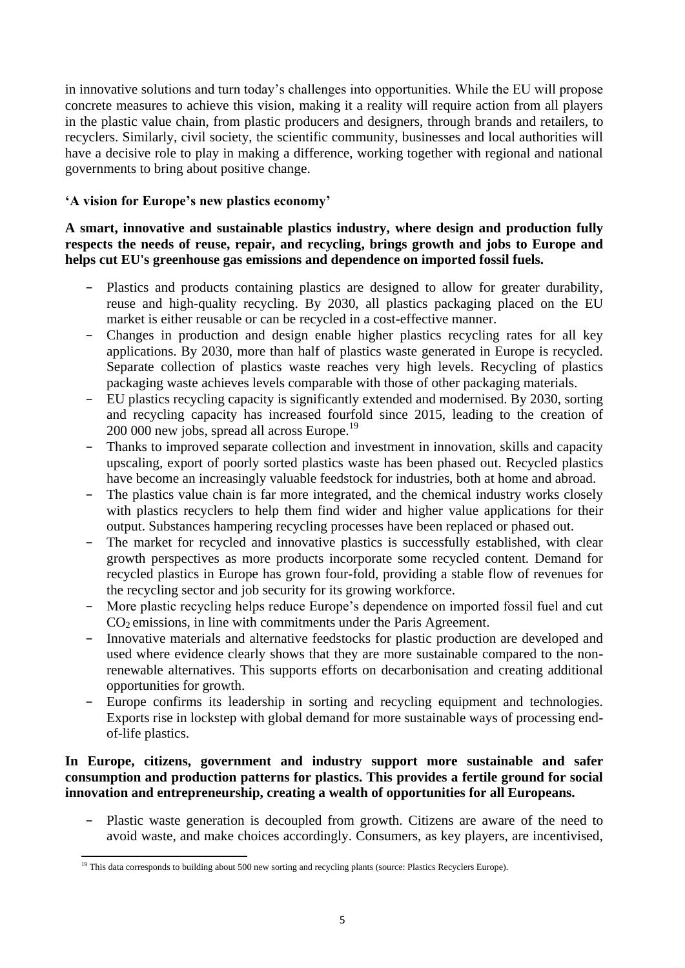in innovative solutions and turn today's challenges into opportunities. While the EU will propose concrete measures to achieve this vision, making it a reality will require action from all players in the plastic value chain, from plastic producers and designers, through brands and retailers, to recyclers. Similarly, civil society, the scientific community, businesses and local authorities will have a decisive role to play in making a difference, working together with regional and national governments to bring about positive change.

### **'A vision for Europe's new plastics economy'**

**A smart, innovative and sustainable plastics industry, where design and production fully respects the needs of reuse, repair, and recycling, brings growth and jobs to Europe and helps cut EU's greenhouse gas emissions and dependence on imported fossil fuels.**

- − Plastics and products containing plastics are designed to allow for greater durability, reuse and high-quality recycling. By 2030, all plastics packaging placed on the EU market is either reusable or can be recycled in a cost-effective manner.
- − Changes in production and design enable higher plastics recycling rates for all key applications. By 2030, more than half of plastics waste generated in Europe is recycled. Separate collection of plastics waste reaches very high levels. Recycling of plastics packaging waste achieves levels comparable with those of other packaging materials.
- − EU plastics recycling capacity is significantly extended and modernised. By 2030, sorting and recycling capacity has increased fourfold since 2015, leading to the creation of 200 000 new jobs, spread all across Europe.<sup>19</sup>
- − Thanks to improved separate collection and investment in innovation, skills and capacity upscaling, export of poorly sorted plastics waste has been phased out. Recycled plastics have become an increasingly valuable feedstock for industries, both at home and abroad.
- − The plastics value chain is far more integrated, and the chemical industry works closely with plastics recyclers to help them find wider and higher value applications for their output. Substances hampering recycling processes have been replaced or phased out.
- The market for recycled and innovative plastics is successfully established, with clear growth perspectives as more products incorporate some recycled content. Demand for recycled plastics in Europe has grown four-fold, providing a stable flow of revenues for the recycling sector and job security for its growing workforce.
- − More plastic recycling helps reduce Europe's dependence on imported fossil fuel and cut CO<sup>2</sup> emissions, in line with commitments under the Paris Agreement.
- − Innovative materials and alternative feedstocks for plastic production are developed and used where evidence clearly shows that they are more sustainable compared to the nonrenewable alternatives. This supports efforts on decarbonisation and creating additional opportunities for growth.
- − Europe confirms its leadership in sorting and recycling equipment and technologies. Exports rise in lockstep with global demand for more sustainable ways of processing endof-life plastics.

#### **In Europe, citizens, government and industry support more sustainable and safer consumption and production patterns for plastics. This provides a fertile ground for social innovation and entrepreneurship, creating a wealth of opportunities for all Europeans.**

Plastic waste generation is decoupled from growth. Citizens are aware of the need to avoid waste, and make choices accordingly. Consumers, as key players, are incentivised,

**<sup>.</sup>** <sup>19</sup> This data corresponds to building about 500 new sorting and recycling plants (source: Plastics Recyclers Europe).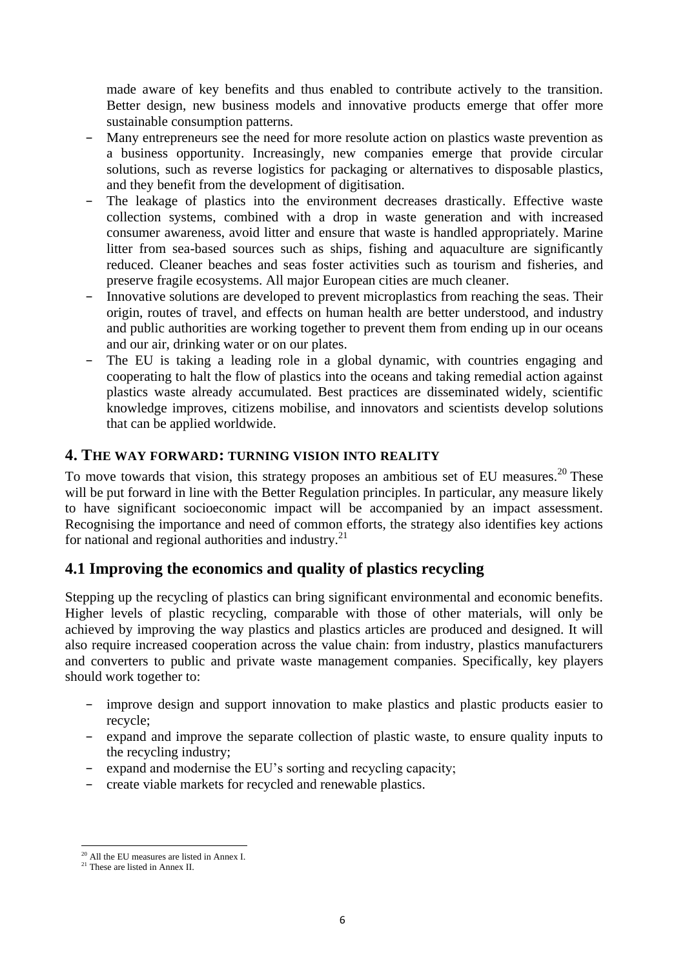made aware of key benefits and thus enabled to contribute actively to the transition. Better design, new business models and innovative products emerge that offer more sustainable consumption patterns.

- − Many entrepreneurs see the need for more resolute action on plastics waste prevention as a business opportunity. Increasingly, new companies emerge that provide circular solutions, such as reverse logistics for packaging or alternatives to disposable plastics, and they benefit from the development of digitisation.
- The leakage of plastics into the environment decreases drastically. Effective waste collection systems, combined with a drop in waste generation and with increased consumer awareness, avoid litter and ensure that waste is handled appropriately. Marine litter from sea-based sources such as ships, fishing and aquaculture are significantly reduced. Cleaner beaches and seas foster activities such as tourism and fisheries, and preserve fragile ecosystems. All major European cities are much cleaner.
- Innovative solutions are developed to prevent microplastics from reaching the seas. Their origin, routes of travel, and effects on human health are better understood, and industry and public authorities are working together to prevent them from ending up in our oceans and our air, drinking water or on our plates.
- The EU is taking a leading role in a global dynamic, with countries engaging and cooperating to halt the flow of plastics into the oceans and taking remedial action against plastics waste already accumulated. Best practices are disseminated widely, scientific knowledge improves, citizens mobilise, and innovators and scientists develop solutions that can be applied worldwide.

#### **4. THE WAY FORWARD: TURNING VISION INTO REALITY**

To move towards that vision, this strategy proposes an ambitious set of EU measures.<sup>20</sup> These will be put forward in line with the Better Regulation principles. In particular, any measure likely to have significant socioeconomic impact will be accompanied by an impact assessment. Recognising the importance and need of common efforts, the strategy also identifies key actions for national and regional authorities and industry. $21$ 

# **4.1 Improving the economics and quality of plastics recycling**

Stepping up the recycling of plastics can bring significant environmental and economic benefits. Higher levels of plastic recycling, comparable with those of other materials, will only be achieved by improving the way plastics and plastics articles are produced and designed. It will also require increased cooperation across the value chain: from industry, plastics manufacturers and converters to public and private waste management companies. Specifically, key players should work together to:

- − improve design and support innovation to make plastics and plastic products easier to recycle;
- − expand and improve the separate collection of plastic waste, to ensure quality inputs to the recycling industry;
- − expand and modernise the EU's sorting and recycling capacity;
- − create viable markets for recycled and renewable plastics.

<sup>1</sup> <sup>20</sup> All the EU measures are listed in Annex I.

<sup>&</sup>lt;sup>21</sup> These are listed in Annex II.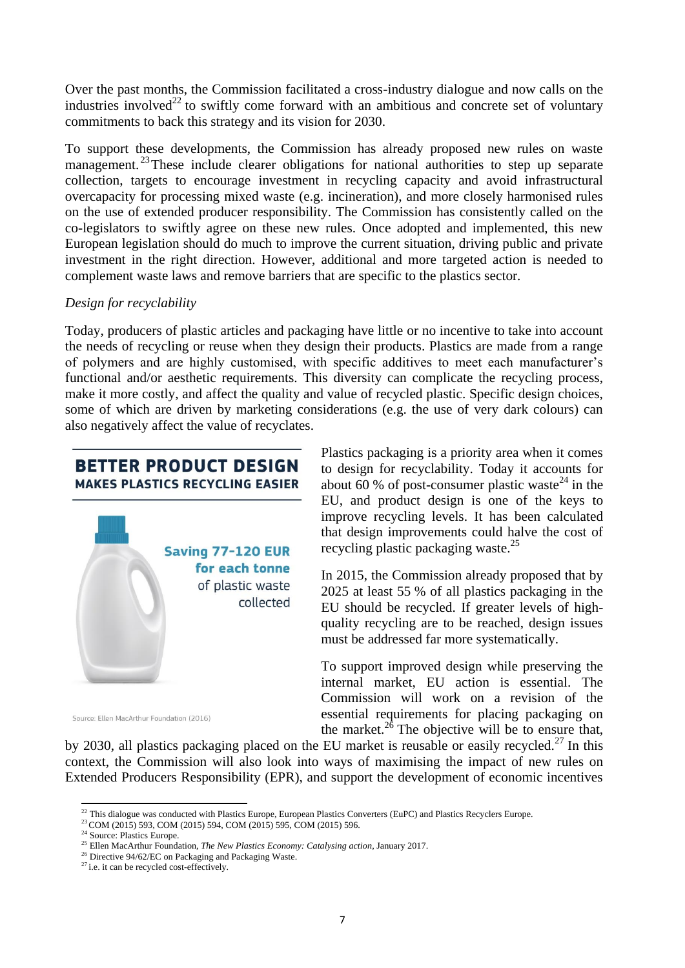Over the past months, the Commission facilitated a cross-industry dialogue and now calls on the industries involved<sup>22</sup> to swiftly come forward with an ambitious and concrete set of voluntary commitments to back this strategy and its vision for 2030.

To support these developments, the Commission has already proposed new rules on waste management.<sup>23</sup>These include clearer obligations for national authorities to step up separate collection, targets to encourage investment in recycling capacity and avoid infrastructural overcapacity for processing mixed waste (e.g. incineration), and more closely harmonised rules on the use of extended producer responsibility. The Commission has consistently called on the co-legislators to swiftly agree on these new rules. Once adopted and implemented, this new European legislation should do much to improve the current situation, driving public and private investment in the right direction. However, additional and more targeted action is needed to complement waste laws and remove barriers that are specific to the plastics sector.

#### *Design for recyclability*

Today, producers of plastic articles and packaging have little or no incentive to take into account the needs of recycling or reuse when they design their products. Plastics are made from a range of polymers and are highly customised, with specific additives to meet each manufacturer's functional and/or aesthetic requirements. This diversity can complicate the recycling process, make it more costly, and affect the quality and value of recycled plastic. Specific design choices, some of which are driven by marketing considerations (e.g. the use of very dark colours) can also negatively affect the value of recyclates.

# **BETTER PRODUCT DESIGN MAKES PLASTICS RECYCLING EASIER**



Plastics packaging is a priority area when it comes to design for recyclability. Today it accounts for about 60 % of post-consumer plastic waste<sup>24</sup> in the EU, and product design is one of the keys to improve recycling levels. It has been calculated that design improvements could halve the cost of recycling plastic packaging waste.<sup>25</sup>

In 2015, the Commission already proposed that by 2025 at least 55 % of all plastics packaging in the EU should be recycled. If greater levels of highquality recycling are to be reached, design issues must be addressed far more systematically.

To support improved design while preserving the internal market, EU action is essential. The Commission will work on a revision of the essential requirements for placing packaging on the market.<sup>26</sup> The objective will be to ensure that,

Source: Ellen MacArthur Foundation (2016)

by 2030, all plastics packaging placed on the EU market is reusable or easily recycled.<sup>27</sup> In this context, the Commission will also look into ways of maximising the impact of new rules on Extended Producers Responsibility (EPR), and support the development of economic incentives

<sup>1</sup>  $^{22}$  This dialogue was conducted with Plastics Europe, European Plastics Converters (EuPC) and Plastics Recyclers Europe.

<sup>&</sup>lt;sup>23</sup> COM (2015) 593, COM (2015) 594, COM (2015) 595, COM (2015) 596.

<sup>&</sup>lt;sup>24</sup> Source: Plastics Europe.

<sup>25</sup> Ellen MacArthur Foundation, *The New Plastics Economy: Catalysing action*, January 2017.

<sup>&</sup>lt;sup>26</sup> Directive 94/62/EC on Packaging and Packaging Waste.

<sup>&</sup>lt;sup>27</sup> i.e. it can be recycled cost-effectively.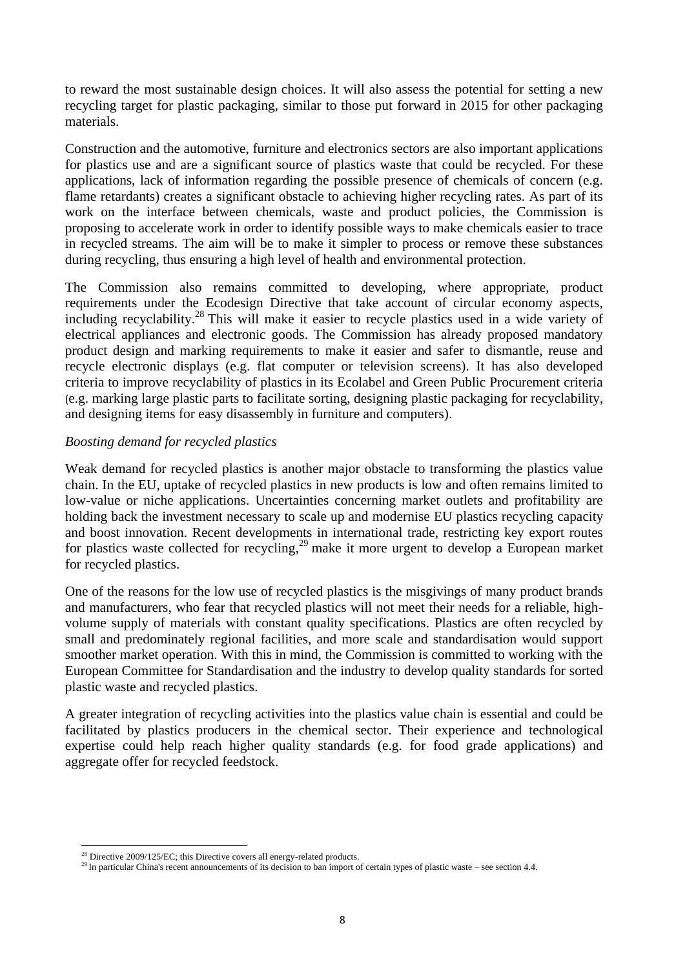to reward the most sustainable design choices. It will also assess the potential for setting a new recycling target for plastic packaging, similar to those put forward in 2015 for other packaging materials.

Construction and the automotive, furniture and electronics sectors are also important applications for plastics use and are a significant source of plastics waste that could be recycled. For these applications, lack of information regarding the possible presence of chemicals of concern (e.g. flame retardants) creates a significant obstacle to achieving higher recycling rates. As part of its work on the interface between chemicals, waste and product policies, the Commission is proposing to accelerate work in order to identify possible ways to make chemicals easier to trace in recycled streams. The aim will be to make it simpler to process or remove these substances during recycling, thus ensuring a high level of health and environmental protection.

The Commission also remains committed to developing, where appropriate, product requirements under the Ecodesign Directive that take account of circular economy aspects, including recyclability.<sup>28</sup> This will make it easier to recycle plastics used in a wide variety of electrical appliances and electronic goods. The Commission has already proposed mandatory product design and marking requirements to make it easier and safer to dismantle, reuse and recycle electronic displays (e.g. flat computer or television screens). It has also developed criteria to improve recyclability of plastics in its Ecolabel and Green Public Procurement criteria (e.g. marking large plastic parts to facilitate sorting, designing plastic packaging for recyclability, and designing items for easy disassembly in furniture and computers).

#### *Boosting demand for recycled plastics*

Weak demand for recycled plastics is another major obstacle to transforming the plastics value chain. In the EU, uptake of recycled plastics in new products is low and often remains limited to low-value or niche applications. Uncertainties concerning market outlets and profitability are holding back the investment necessary to scale up and modernise EU plastics recycling capacity and boost innovation. Recent developments in international trade, restricting key export routes for plastics waste collected for recycling,<sup>29</sup> make it more urgent to develop a European market for recycled plastics.

One of the reasons for the low use of recycled plastics is the misgivings of many product brands and manufacturers, who fear that recycled plastics will not meet their needs for a reliable, highvolume supply of materials with constant quality specifications. Plastics are often recycled by small and predominately regional facilities, and more scale and standardisation would support smoother market operation. With this in mind, the Commission is committed to working with the European Committee for Standardisation and the industry to develop quality standards for sorted plastic waste and recycled plastics.

A greater integration of recycling activities into the plastics value chain is essential and could be facilitated by plastics producers in the chemical sector. Their experience and technological expertise could help reach higher quality standards (e.g. for food grade applications) and aggregate offer for recycled feedstock.

<sup>1</sup>  $^{28}$  Directive 2009/125/EC; this Directive covers all energy-related products.

<sup>&</sup>lt;sup>29</sup> In particular China's recent announcements of its decision to ban import of certain types of plastic waste – see section 4.4.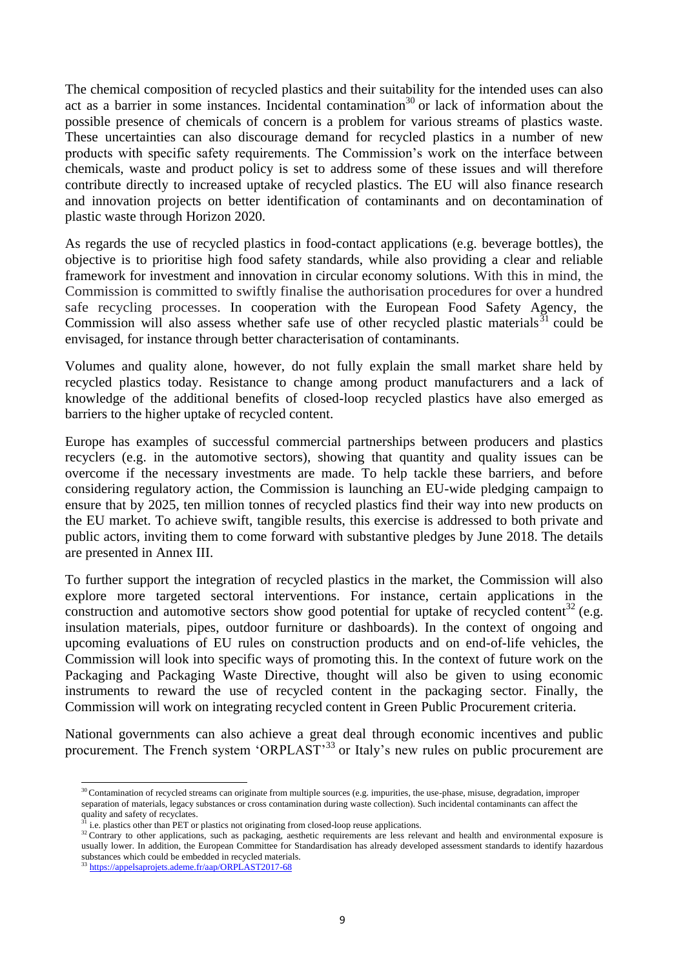The chemical composition of recycled plastics and their suitability for the intended uses can also act as a barrier in some instances. Incidental contamination<sup>30</sup> or lack of information about the possible presence of chemicals of concern is a problem for various streams of plastics waste. These uncertainties can also discourage demand for recycled plastics in a number of new products with specific safety requirements. The Commission's work on the interface between chemicals, waste and product policy is set to address some of these issues and will therefore contribute directly to increased uptake of recycled plastics. The EU will also finance research and innovation projects on better identification of contaminants and on decontamination of plastic waste through Horizon 2020*.*

As regards the use of recycled plastics in food-contact applications (e.g. beverage bottles), the objective is to prioritise high food safety standards, while also providing a clear and reliable framework for investment and innovation in circular economy solutions. With this in mind, the Commission is committed to swiftly finalise the authorisation procedures for over a hundred safe recycling processes. In cooperation with the European Food Safety Agency, the Commission will also assess whether safe use of other recycled plastic materials  $31$  could be envisaged, for instance through better characterisation of contaminants.

Volumes and quality alone, however, do not fully explain the small market share held by recycled plastics today. Resistance to change among product manufacturers and a lack of knowledge of the additional benefits of closed-loop recycled plastics have also emerged as barriers to the higher uptake of recycled content.

Europe has examples of successful commercial partnerships between producers and plastics recyclers (e.g. in the automotive sectors), showing that quantity and quality issues can be overcome if the necessary investments are made. To help tackle these barriers, and before considering regulatory action, the Commission is launching an EU-wide pledging campaign to ensure that by 2025, ten million tonnes of recycled plastics find their way into new products on the EU market. To achieve swift, tangible results, this exercise is addressed to both private and public actors, inviting them to come forward with substantive pledges by June 2018. The details are presented in Annex III.

To further support the integration of recycled plastics in the market, the Commission will also explore more targeted sectoral interventions. For instance, certain applications in the construction and automotive sectors show good potential for uptake of recycled content<sup>32</sup> (e.g. insulation materials, pipes, outdoor furniture or dashboards). In the context of ongoing and upcoming evaluations of EU rules on construction products and on end-of-life vehicles, the Commission will look into specific ways of promoting this. In the context of future work on the Packaging and Packaging Waste Directive, thought will also be given to using economic instruments to reward the use of recycled content in the packaging sector. Finally, the Commission will work on integrating recycled content in Green Public Procurement criteria.

National governments can also achieve a great deal through economic incentives and public procurement. The French system 'ORPLAST'<sup>33</sup> or Italy's new rules on public procurement are

**.** 

 $30$  Contamination of recycled streams can originate from multiple sources (e.g. impurities, the use-phase, misuse, degradation, improper separation of materials, legacy substances or cross contamination during waste collection). Such incidental contaminants can affect the  $q$  materials, legacy s<br>quality and safety of recyclates.

<sup>31</sup> i.e. plastics other than PET or plastics not originating from closed-loop reuse applications.

<sup>&</sup>lt;sup>32</sup> Contrary to other applications, such as packaging, aesthetic requirements are less relevant and health and environmental exposure is usually lower. In addition, the European Committee for Standardisation has already developed assessment standards to identify hazardous substances which could be embedded in recycled materials.

<sup>33</sup> <https://appelsaprojets.ademe.fr/aap/ORPLAST2017-68>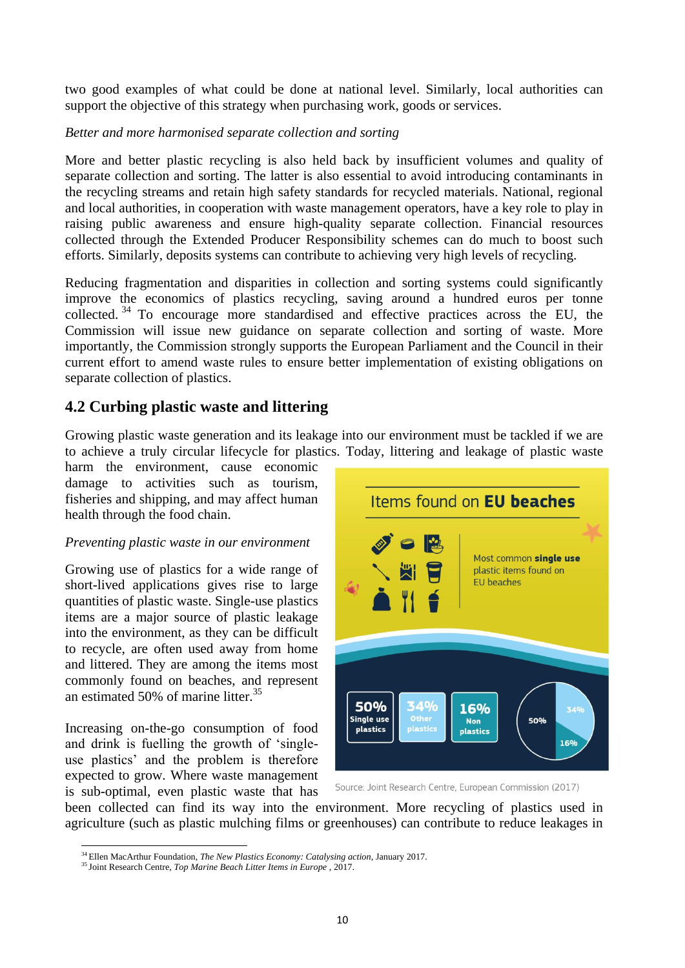two good examples of what could be done at national level. Similarly, local authorities can support the objective of this strategy when purchasing work, goods or services.

### *Better and more harmonised separate collection and sorting*

More and better plastic recycling is also held back by insufficient volumes and quality of separate collection and sorting. The latter is also essential to avoid introducing contaminants in the recycling streams and retain high safety standards for recycled materials. National, regional and local authorities, in cooperation with waste management operators, have a key role to play in raising public awareness and ensure high-quality separate collection. Financial resources collected through the Extended Producer Responsibility schemes can do much to boost such efforts. Similarly, deposits systems can contribute to achieving very high levels of recycling.

Reducing fragmentation and disparities in collection and sorting systems could significantly improve the economics of plastics recycling, saving around a hundred euros per tonne collected. <sup>34</sup> To encourage more standardised and effective practices across the EU, the Commission will issue new guidance on separate collection and sorting of waste. More importantly, the Commission strongly supports the European Parliament and the Council in their current effort to amend waste rules to ensure better implementation of existing obligations on separate collection of plastics.

# **4.2 Curbing plastic waste and littering**

Growing plastic waste generation and its leakage into our environment must be tackled if we are to achieve a truly circular lifecycle for plastics. Today, littering and leakage of plastic waste

harm the environment, cause economic damage to activities such as tourism, fisheries and shipping, and may affect human health through the food chain.

#### *Preventing plastic waste in our environment*

Growing use of plastics for a wide range of short-lived applications gives rise to large quantities of plastic waste. Single-use plastics items are a major source of plastic leakage into the environment, as they can be difficult to recycle, are often used away from home and littered. They are among the items most commonly found on beaches, and represent an estimated 50% of marine litter.<sup>35</sup>

Increasing on-the-go consumption of food and drink is fuelling the growth of 'singleuse plastics' and the problem is therefore expected to grow. Where waste management is sub-optimal, even plastic waste that has



Source: Joint Research Centre, European Commission (2017)

been collected can find its way into the environment. More recycling of plastics used in agriculture (such as plastic mulching films or greenhouses) can contribute to reduce leakages in

<sup>1</sup> <sup>34</sup> Ellen MacArthur Foundation, *The New Plastics Economy: Catalysing action*, January 2017.

<sup>35</sup> Joint Research Centre, *Top Marine Beach Litter Items in Europe* , 2017.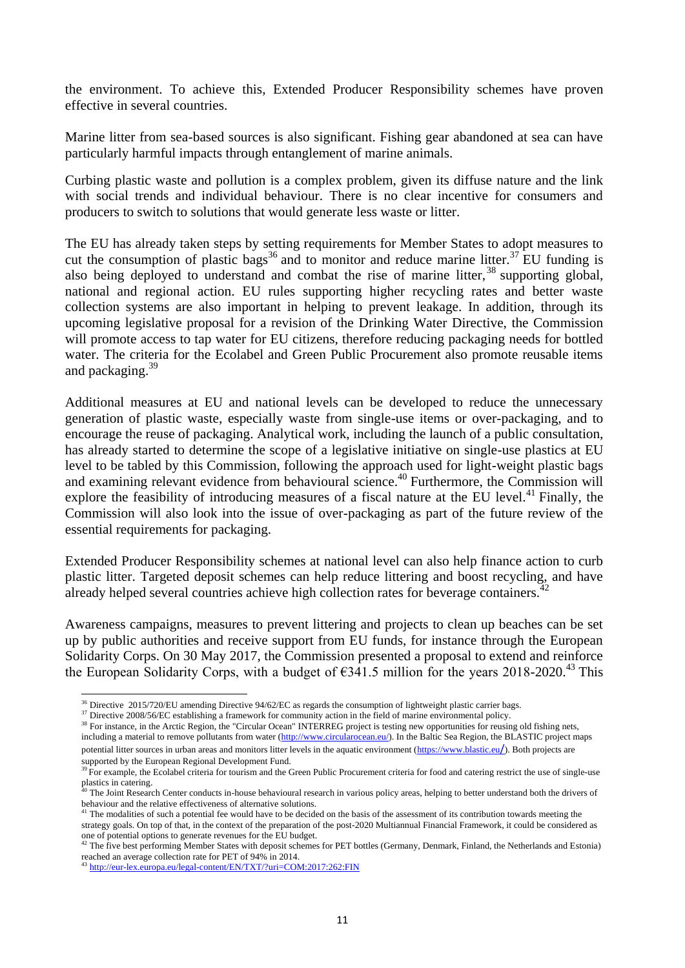the environment. To achieve this, Extended Producer Responsibility schemes have proven effective in several countries.

Marine litter from sea-based sources is also significant. Fishing gear abandoned at sea can have particularly harmful impacts through entanglement of marine animals.

Curbing plastic waste and pollution is a complex problem, given its diffuse nature and the link with social trends and individual behaviour. There is no clear incentive for consumers and producers to switch to solutions that would generate less waste or litter.

The EU has already taken steps by setting requirements for Member States to adopt measures to cut the consumption of plastic bags<sup>36</sup> and to monitor and reduce marine litter.<sup>37</sup> EU funding is also being deployed to understand and combat the rise of marine litter,  $38$  supporting global, national and regional action. EU rules supporting higher recycling rates and better waste collection systems are also important in helping to prevent leakage. In addition, through its upcoming legislative proposal for a revision of the Drinking Water Directive, the Commission will promote access to tap water for EU citizens, therefore reducing packaging needs for bottled water. The criteria for the Ecolabel and Green Public Procurement also promote reusable items and packaging.<sup>39</sup>

Additional measures at EU and national levels can be developed to reduce the unnecessary generation of plastic waste, especially waste from single-use items or over-packaging, and to encourage the reuse of packaging. Analytical work, including the launch of a public consultation, has already started to determine the scope of a legislative initiative on single-use plastics at EU level to be tabled by this Commission, following the approach used for light-weight plastic bags and examining relevant evidence from behavioural science.<sup>40</sup> Furthermore, the Commission will explore the feasibility of introducing measures of a fiscal nature at the EU level.<sup>41</sup> Finally, the Commission will also look into the issue of over-packaging as part of the future review of the essential requirements for packaging.

Extended Producer Responsibility schemes at national level can also help finance action to curb plastic litter. Targeted deposit schemes can help reduce littering and boost recycling, and have already helped several countries achieve high collection rates for beverage containers.<sup>42</sup>

Awareness campaigns, measures to prevent littering and projects to clean up beaches can be set up by public authorities and receive support from EU funds, for instance through the European Solidarity Corps. On 30 May 2017, the Commission presented a proposal to extend and reinforce the European Solidarity Corps, with a budget of  $\epsilon$ 341.5 million for the years 2018-2020.<sup>43</sup> This

<sup>38</sup> For instance, in the Arctic Region, the "Circular Ocean" INTERREG project is testing new opportunities for reusing old fishing nets, including a material to remove pollutants from water [\(http://www.circularocean.eu/\)](http://www.circularocean.eu/). In the Baltic Sea Region, the BLASTIC project maps potential litter sources in urban areas and monitors litter levels in the aquatic environment [\(https://www.blastic.eu](https://www.blastic.eu/)/). Both projects are supported by the European Regional Development Fund.

**<sup>.</sup>** <sup>36</sup> Directive 2015/720/EU amending Directive 94/62/EC as regards the consumption of lightweight plastic carrier bags.

<sup>&</sup>lt;sup>37</sup> Directive 2008/56/EC establishing a framework for community action in the field of marine environmental policy.

 $39$  For example, the Ecolabel criteria for tourism and the Green Public Procurement criteria for food and catering restrict the use of single-use plastics in catering.

 $40$  The Joint Research Center conducts in-house behavioural research in various policy areas, helping to better understand both the drivers of behaviour and the relative effectiveness of alternative solutions.

 $41$  The modalities of such a potential fee would have to be decided on the basis of the assessment of its contribution towards meeting the strategy goals. On top of that, in the context of the preparation of the post-2020 Multiannual Financial Framework, it could be considered as one of potential options to generate revenues for the EU budget.

 $42$  The five best performing Member States with deposit schemes for PET bottles (Germany, Denmark, Finland, the Netherlands and Estonia) reached an average collection rate for PET of 94% in 2014.

<sup>43</sup> <http://eur-lex.europa.eu/legal-content/EN/TXT/?uri=COM:2017:262:FIN>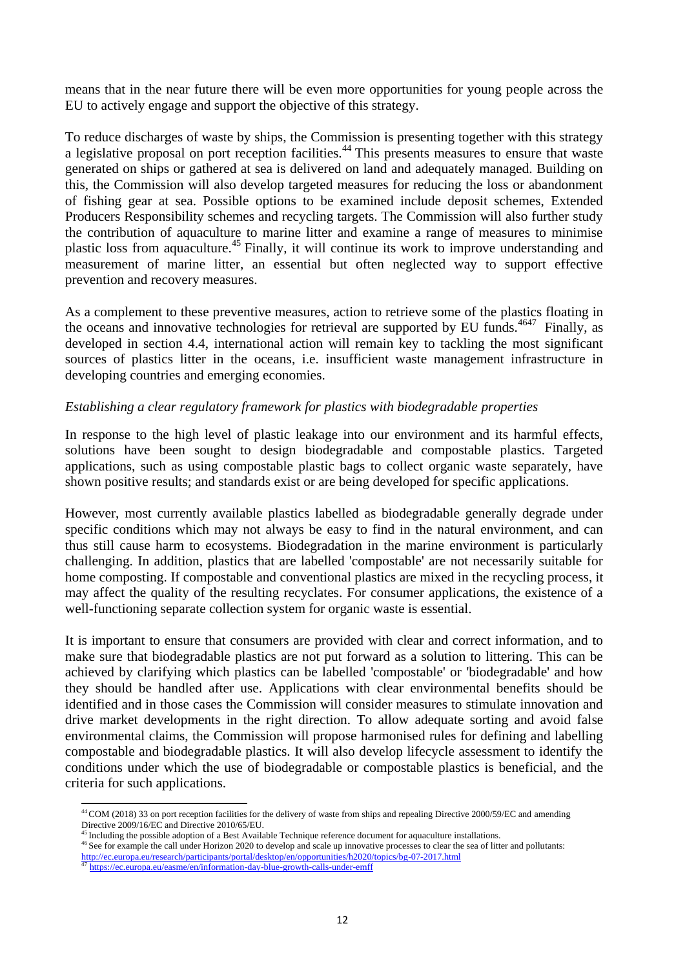means that in the near future there will be even more opportunities for young people across the EU to actively engage and support the objective of this strategy.

To reduce discharges of waste by ships, the Commission is presenting together with this strategy a legislative proposal on port reception facilities.<sup>44</sup> This presents measures to ensure that waste generated on ships or gathered at sea is delivered on land and adequately managed. Building on this, the Commission will also develop targeted measures for reducing the loss or abandonment of fishing gear at sea. Possible options to be examined include deposit schemes, Extended Producers Responsibility schemes and recycling targets. The Commission will also further study the contribution of aquaculture to marine litter and examine a range of measures to minimise plastic loss from aquaculture.<sup>45</sup> Finally, it will continue its work to improve understanding and measurement of marine litter, an essential but often neglected way to support effective prevention and recovery measures.

As a complement to these preventive measures, action to retrieve some of the plastics floating in the oceans and innovative technologies for retrieval are supported by EU funds.<sup>4647</sup> Finally, as developed in section 4.4, international action will remain key to tackling the most significant sources of plastics litter in the oceans, i.e. insufficient waste management infrastructure in developing countries and emerging economies.

#### *Establishing a clear regulatory framework for plastics with biodegradable properties*

In response to the high level of plastic leakage into our environment and its harmful effects, solutions have been sought to design biodegradable and compostable plastics. Targeted applications, such as using compostable plastic bags to collect organic waste separately, have shown positive results; and standards exist or are being developed for specific applications.

However, most currently available plastics labelled as biodegradable generally degrade under specific conditions which may not always be easy to find in the natural environment, and can thus still cause harm to ecosystems. Biodegradation in the marine environment is particularly challenging. In addition, plastics that are labelled 'compostable' are not necessarily suitable for home composting. If compostable and conventional plastics are mixed in the recycling process, it may affect the quality of the resulting recyclates. For consumer applications, the existence of a well-functioning separate collection system for organic waste is essential.

It is important to ensure that consumers are provided with clear and correct information, and to make sure that biodegradable plastics are not put forward as a solution to littering. This can be achieved by clarifying which plastics can be labelled 'compostable' or 'biodegradable' and how they should be handled after use. Applications with clear environmental benefits should be identified and in those cases the Commission will consider measures to stimulate innovation and drive market developments in the right direction. To allow adequate sorting and avoid false environmental claims, the Commission will propose harmonised rules for defining and labelling compostable and biodegradable plastics. It will also develop lifecycle assessment to identify the conditions under which the use of biodegradable or compostable plastics is beneficial, and the criteria for such applications.

<sup>1</sup>  $^{44}$ COM (2018) 33 on port reception facilities for the delivery of waste from ships and repealing Directive 2000/59/EC and amending Directive 2009/16/EC and Directive 2010/65/EU.

<sup>&</sup>lt;sup>45</sup> Including the possible adoption of a Best Available Technique reference document for aquaculture installations.

<sup>&</sup>lt;sup>46</sup> See for example the call under Horizon 2020 to develop and scale up innovative processes to clear the sea of litter and pollutants: <http://ec.europa.eu/research/participants/portal/desktop/en/opportunities/h2020/topics/bg-07-2017.html><br><sup>47</sup> https://ec.europa.eu/essme/en/information.dov.blue.gravuk.sella.up/scolle.up/scolle

<sup>47</sup> <https://ec.europa.eu/easme/en/information-day-blue-growth-calls-under-emff>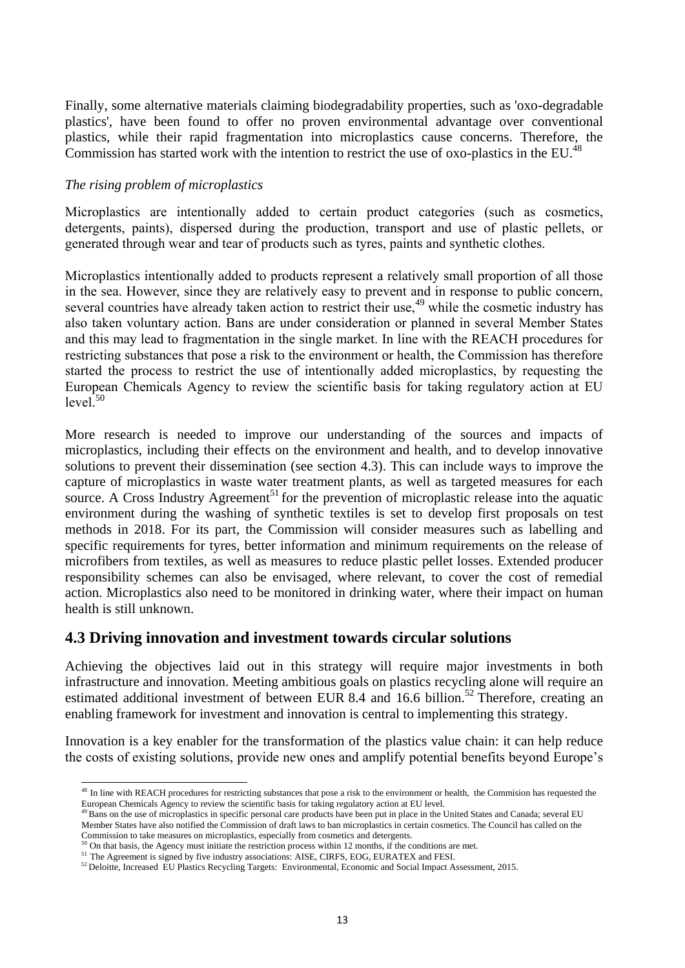Finally, some alternative materials claiming biodegradability properties, such as 'oxo-degradable plastics', have been found to offer no proven environmental advantage over conventional plastics, while their rapid fragmentation into microplastics cause concerns. Therefore, the Commission has started work with the intention to restrict the use of oxo-plastics in the EU.<sup>48</sup>

#### *The rising problem of microplastics*

**.** 

Microplastics are intentionally added to certain product categories (such as cosmetics, detergents, paints), dispersed during the production, transport and use of plastic pellets, or generated through wear and tear of products such as tyres, paints and synthetic clothes.

Microplastics intentionally added to products represent a relatively small proportion of all those in the sea. However, since they are relatively easy to prevent and in response to public concern, several countries have already taken action to restrict their use,<sup>49</sup> while the cosmetic industry has also taken voluntary action. Bans are under consideration or planned in several Member States and this may lead to fragmentation in the single market. In line with the REACH procedures for restricting substances that pose a risk to the environment or health, the Commission has therefore started the process to restrict the use of intentionally added microplastics, by requesting the European Chemicals Agency to review the scientific basis for taking regulatory action at EU  $level<sup>50</sup>$ 

More research is needed to improve our understanding of the sources and impacts of microplastics, including their effects on the environment and health, and to develop innovative solutions to prevent their dissemination (see section 4.3). This can include ways to improve the capture of microplastics in waste water treatment plants, as well as targeted measures for each source. A Cross Industry Agreement<sup>51</sup> for the prevention of microplastic release into the aquatic environment during the washing of synthetic textiles is set to develop first proposals on test methods in 2018. For its part, the Commission will consider measures such as labelling and specific requirements for tyres, better information and minimum requirements on the release of microfibers from textiles, as well as measures to reduce plastic pellet losses. Extended producer responsibility schemes can also be envisaged, where relevant, to cover the cost of remedial action. Microplastics also need to be monitored in drinking water, where their impact on human health is still unknown.

### **4.3 Driving innovation and investment towards circular solutions**

Achieving the objectives laid out in this strategy will require major investments in both infrastructure and innovation. Meeting ambitious goals on plastics recycling alone will require an estimated additional investment of between EUR 8.4 and 16.6 billion.<sup>52</sup> Therefore, creating an enabling framework for investment and innovation is central to implementing this strategy.

Innovation is a key enabler for the transformation of the plastics value chain: it can help reduce the costs of existing solutions, provide new ones and amplify potential benefits beyond Europe's

<sup>&</sup>lt;sup>48</sup> In line with REACH procedures for restricting substances that pose a risk to the environment or health, the Commision has requested the European Chemicals Agency to review the scientific basis for taking regulatory action at EU level.

 $49$ Bans on the use of microplastics in specific personal care products have been put in place in the United States and Canada; several EU Member States have also notified the Commission of draft laws to ban microplastics in certain cosmetics. The Council has called on the Commission to take measures on microplastics, especially from cosmetics and detergents.

<sup>50</sup> On that basis, the Agency must initiate the restriction process within 12 months, if the conditions are met.

<sup>&</sup>lt;sup>51</sup> The Agreement is signed by five industry associations: AISE, CIRFS, EOG, EURATEX and FESI.

<sup>52</sup> Deloitte, Increased EU Plastics Recycling Targets: Environmental, Economic and Social Impact Assessment, 2015.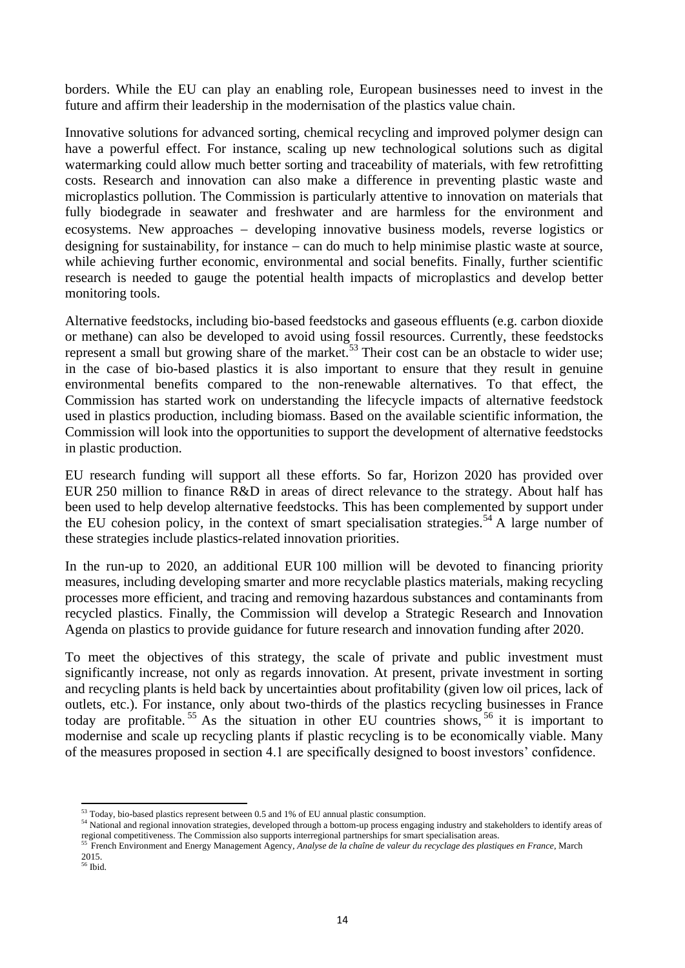borders. While the EU can play an enabling role, European businesses need to invest in the future and affirm their leadership in the modernisation of the plastics value chain.

Innovative solutions for advanced sorting, chemical recycling and improved polymer design can have a powerful effect. For instance, scaling up new technological solutions such as digital watermarking could allow much better sorting and traceability of materials, with few retrofitting costs. Research and innovation can also make a difference in preventing plastic waste and microplastics pollution. The Commission is particularly attentive to innovation on materials that fully biodegrade in seawater and freshwater and are harmless for the environment and ecosystems. New approaches – developing innovative business models, reverse logistics or designing for sustainability, for instance  $-\text{ can do much to help minimise plastic waste at source}$ , while achieving further economic, environmental and social benefits. Finally, further scientific research is needed to gauge the potential health impacts of microplastics and develop better monitoring tools.

Alternative feedstocks, including bio-based feedstocks and gaseous effluents (e.g. carbon dioxide or methane) can also be developed to avoid using fossil resources. Currently, these feedstocks represent a small but growing share of the market.<sup>53</sup> Their cost can be an obstacle to wider use; in the case of bio-based plastics it is also important to ensure that they result in genuine environmental benefits compared to the non-renewable alternatives. To that effect, the Commission has started work on understanding the lifecycle impacts of alternative feedstock used in plastics production, including biomass. Based on the available scientific information, the Commission will look into the opportunities to support the development of alternative feedstocks in plastic production.

EU research funding will support all these efforts. So far, Horizon 2020 has provided over EUR 250 million to finance R&D in areas of direct relevance to the strategy. About half has been used to help develop alternative feedstocks. This has been complemented by support under the EU cohesion policy, in the context of smart specialisation strategies.<sup>54</sup> A large number of these strategies include plastics-related innovation priorities.

In the run-up to 2020, an additional EUR 100 million will be devoted to financing priority measures, including developing smarter and more recyclable plastics materials, making recycling processes more efficient, and tracing and removing hazardous substances and contaminants from recycled plastics. Finally, the Commission will develop a Strategic Research and Innovation Agenda on plastics to provide guidance for future research and innovation funding after 2020.

To meet the objectives of this strategy, the scale of private and public investment must significantly increase, not only as regards innovation. At present, private investment in sorting and recycling plants is held back by uncertainties about profitability (given low oil prices, lack of outlets, etc.). For instance, only about two-thirds of the plastics recycling businesses in France today are profitable.<sup>55</sup> As the situation in other EU countries shows,  $56$  it is important to modernise and scale up recycling plants if plastic recycling is to be economically viable. Many of the measures proposed in section 4.1 are specifically designed to boost investors' confidence.

<sup>1</sup>  $53$  Today, bio-based plastics represent between 0.5 and 1% of EU annual plastic consumption.

<sup>&</sup>lt;sup>54</sup> National and regional innovation strategies, developed through a bottom-up process engaging industry and stakeholders to identify areas of regional competitiveness. The Commission also supports interregional partnerships for smart specialisation areas.

<sup>55</sup> French Environment and Energy Management Agency, *Analyse de la chaîne de valeur du recyclage des plastiques en France*, March 2015.

<sup>56</sup> Ibid.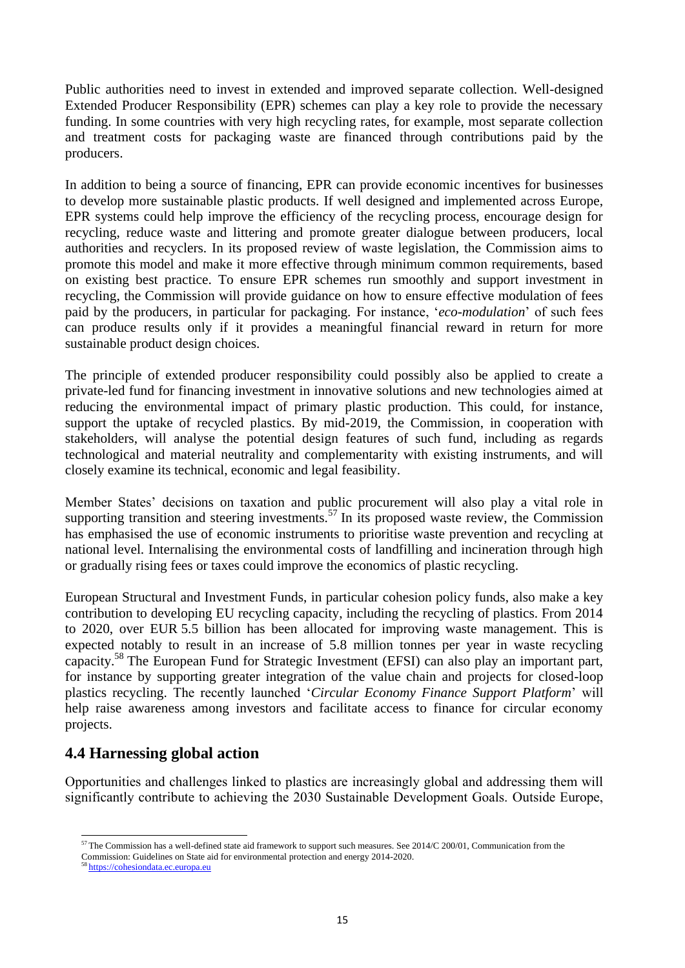Public authorities need to invest in extended and improved separate collection. Well-designed Extended Producer Responsibility (EPR) schemes can play a key role to provide the necessary funding. In some countries with very high recycling rates, for example, most separate collection and treatment costs for packaging waste are financed through contributions paid by the producers.

In addition to being a source of financing, EPR can provide economic incentives for businesses to develop more sustainable plastic products. If well designed and implemented across Europe, EPR systems could help improve the efficiency of the recycling process, encourage design for recycling, reduce waste and littering and promote greater dialogue between producers, local authorities and recyclers. In its proposed review of waste legislation, the Commission aims to promote this model and make it more effective through minimum common requirements, based on existing best practice. To ensure EPR schemes run smoothly and support investment in recycling, the Commission will provide guidance on how to ensure effective modulation of fees paid by the producers, in particular for packaging*.* For instance, '*eco-modulation*' of such fees can produce results only if it provides a meaningful financial reward in return for more sustainable product design choices.

The principle of extended producer responsibility could possibly also be applied to create a private-led fund for financing investment in innovative solutions and new technologies aimed at reducing the environmental impact of primary plastic production. This could, for instance, support the uptake of recycled plastics. By mid-2019, the Commission, in cooperation with stakeholders, will analyse the potential design features of such fund, including as regards technological and material neutrality and complementarity with existing instruments, and will closely examine its technical, economic and legal feasibility.

Member States' decisions on taxation and public procurement will also play a vital role in supporting transition and steering investments.<sup>57</sup> In its proposed waste review, the Commission has emphasised the use of economic instruments to prioritise waste prevention and recycling at national level. Internalising the environmental costs of landfilling and incineration through high or gradually rising fees or taxes could improve the economics of plastic recycling.

European Structural and Investment Funds, in particular cohesion policy funds, also make a key contribution to developing EU recycling capacity, including the recycling of plastics. From 2014 to 2020, over EUR 5.5 billion has been allocated for improving waste management. This is expected notably to result in an increase of 5.8 million tonnes per year in waste recycling capacity.<sup>58</sup> The European Fund for Strategic Investment (EFSI) can also play an important part, for instance by supporting greater integration of the value chain and projects for closed-loop plastics recycling. The recently launched '*Circular Economy Finance Support Platform*' will help raise awareness among investors and facilitate access to finance for circular economy projects.

### **4.4 Harnessing global action**

Opportunities and challenges linked to plastics are increasingly global and addressing them will significantly contribute to achieving the 2030 Sustainable Development Goals. Outside Europe,

**<sup>.</sup>**  $57$  The Commission has a well-defined state aid framework to support such measures. See 2014/C 200/01, Communication from the

Commission: Guidelines on State aid for environmental protection and energy 2014-2020.

<sup>58</sup> [https://cohesiondata.ec.europa.eu](https://cohesiondata.ec.europa.eu/)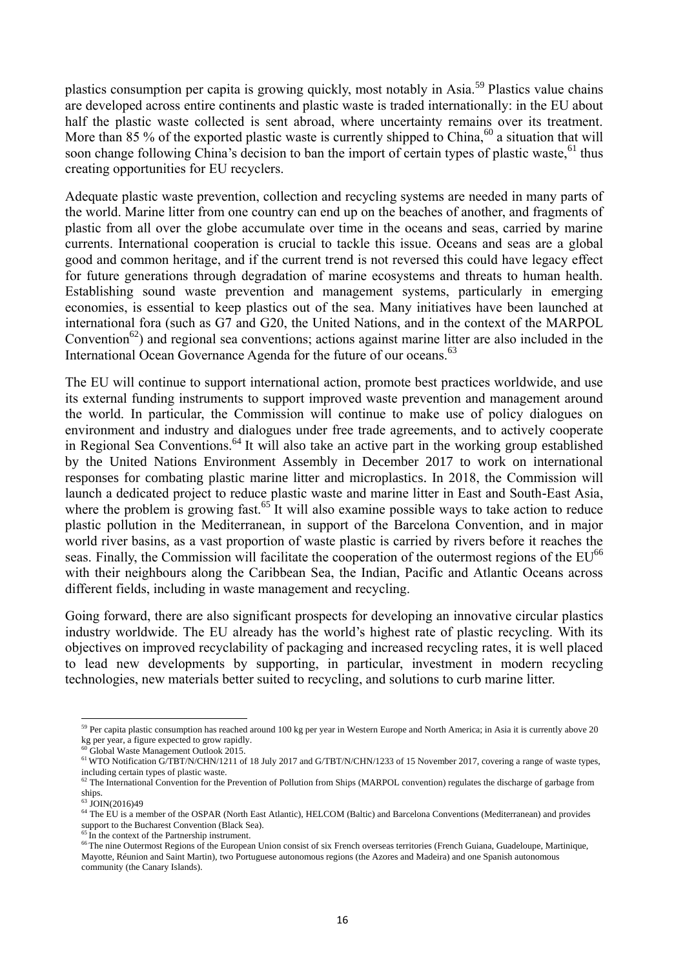plastics consumption per capita is growing quickly, most notably in Asia.<sup>59</sup> Plastics value chains are developed across entire continents and plastic waste is traded internationally: in the EU about half the plastic waste collected is sent abroad, where uncertainty remains over its treatment. More than 85 % of the exported plastic waste is currently shipped to China,<sup>60</sup> a situation that will soon change following China's decision to ban the import of certain types of plastic waste, <sup>61</sup> thus creating opportunities for EU recyclers.

Adequate plastic waste prevention, collection and recycling systems are needed in many parts of the world. Marine litter from one country can end up on the beaches of another, and fragments of plastic from all over the globe accumulate over time in the oceans and seas, carried by marine currents. International cooperation is crucial to tackle this issue. Oceans and seas are a global good and common heritage, and if the current trend is not reversed this could have legacy effect for future generations through degradation of marine ecosystems and threats to human health. Establishing sound waste prevention and management systems, particularly in emerging economies, is essential to keep plastics out of the sea. Many initiatives have been launched at international fora (such as G7 and G20, the United Nations, and in the context of the MARPOL Convention<sup>62</sup>) and regional sea conventions; actions against marine litter are also included in the International Ocean Governance Agenda for the future of our oceans.<sup>63</sup>

The EU will continue to support international action, promote best practices worldwide, and use its external funding instruments to support improved waste prevention and management around the world. In particular, the Commission will continue to make use of policy dialogues on environment and industry and dialogues under free trade agreements, and to actively cooperate in Regional Sea Conventions.<sup>64</sup> It will also take an active part in the working group established by the United Nations Environment Assembly in December 2017 to work on international responses for combating plastic marine litter and microplastics. In 2018, the Commission will launch a dedicated project to reduce plastic waste and marine litter in East and South-East Asia, where the problem is growing fast.<sup> $65$ </sup>It will also examine possible ways to take action to reduce plastic pollution in the Mediterranean, in support of the Barcelona Convention, and in major world river basins, as a vast proportion of waste plastic is carried by rivers before it reaches the seas. Finally, the Commission will facilitate the cooperation of the outermost regions of the EU<sup>66</sup> with their neighbours along the Caribbean Sea, the Indian, Pacific and Atlantic Oceans across different fields, including in waste management and recycling.

Going forward, there are also significant prospects for developing an innovative circular plastics industry worldwide. The EU already has the world's highest rate of plastic recycling. With its objectives on improved recyclability of packaging and increased recycling rates, it is well placed to lead new developments by supporting, in particular, investment in modern recycling technologies, new materials better suited to recycling, and solutions to curb marine litter.

**<sup>.</sup>** <sup>59</sup> Per capita plastic consumption has reached around 100 kg per year in Western Europe and North America; in Asia it is currently above 20 kg per year, a figure expected to grow rapidly.

<sup>&</sup>lt;sup>60</sup> Global Waste Management Outlook 2015.

<sup>&</sup>lt;sup>61</sup> WTO Notification G/TBT/N/CHN/1211 of 18 July 2017 and G/TBT/N/CHN/1233 of 15 November 2017, covering a range of waste types, including certain types of plastic waste.

<sup>&</sup>lt;sup>62</sup> The International Convention for the Prevention of Pollution from Ships (MARPOL convention) regulates the discharge of garbage from ships.

<sup>63</sup> JOIN(2016)49

<sup>64</sup> The EU is a member of the OSPAR (North East Atlantic), HELCOM (Baltic) and Barcelona Conventions (Mediterranean) and provides support to the Bucharest Convention (Black Sea).

 $65$  In the context of the Partnership instrument.

<sup>66</sup> The nine Content of the European Union consist of six French overseas territories (French Guiana, Guadeloupe, Martinique, Mayotte, Réunion and Saint Martin), two Portuguese autonomous regions (the Azores and Madeira) and one Spanish autonomous community (the Canary Islands).